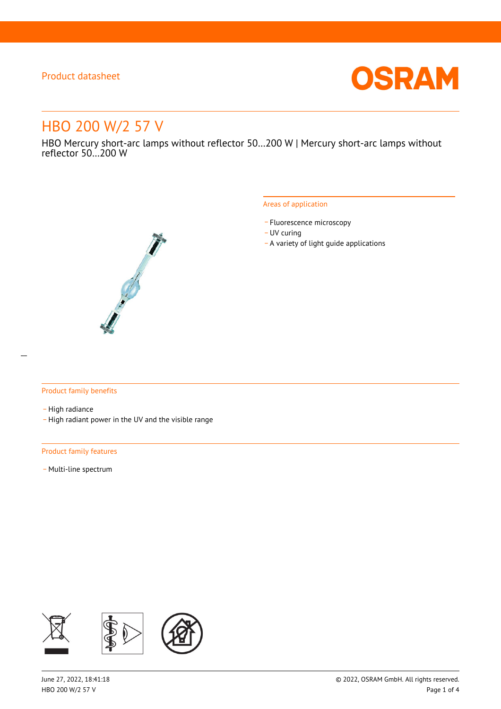

# HBO 200 W/2 57 V

HBO Mercury short-arc lamps without reflector 50…200 W | Mercury short-arc lamps without reflector 50…200 W



#### Areas of application

- Fluorescence microscopy
- UV curing
- \_ A variety of light guide applications

#### Product family benefits

- High radiance
- \_ High radiant power in the UV and the visible range

#### Product family features

- Multi-line spectrum

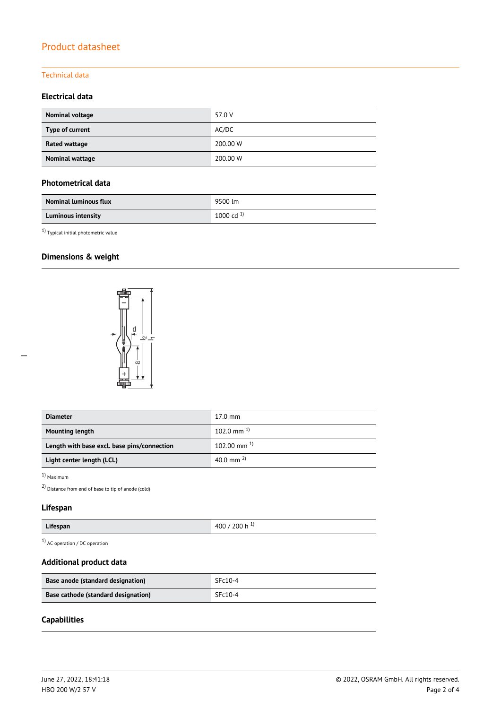### Technical data

### **Electrical data**

| <b>Nominal voltage</b> | 57.0 V   |
|------------------------|----------|
| Type of current        | AC/DC    |
| Rated wattage          | 200.00 W |
| Nominal wattage        | 200.00 W |

### **Photometrical data**

| <b>Nominal luminous flux</b> | 9500 lm        |
|------------------------------|----------------|
| <b>Luminous intensity</b>    | 1000 cd $^{1}$ |

 $^{1)}$  Typical initial photometric value

## **Dimensions & weight**



| <b>Diameter</b>                             | $17.0 \text{ mm}$       |
|---------------------------------------------|-------------------------|
| <b>Mounting length</b>                      | $102.0 \text{ mm}^{-1}$ |
| Length with base excl. base pins/connection | $102.00$ mm $^{1}$      |
| Light center length (LCL)                   | 40.0 mm $^{2}$          |

1) Maximum

2) Distance from end of base to tip of anode (cold)

## **Lifespan**

| Lifespan | 400<br>200 h |
|----------|--------------|
|----------|--------------|

1) AC operation / DC operation

### **Additional product data**

| Base anode (standard designation)   | $SFc10-4$ |  |  |
|-------------------------------------|-----------|--|--|
| Base cathode (standard designation) | $SFC10-4$ |  |  |

### **Capabilities**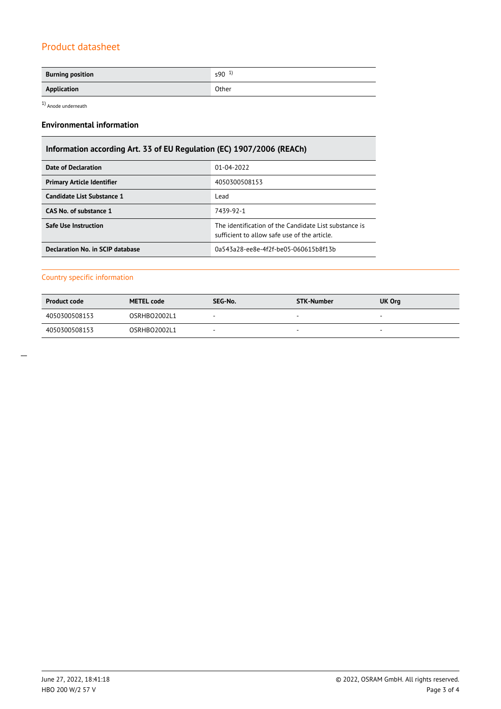| <b>Burning position</b> | $590^{1}$ |
|-------------------------|-----------|
| Application             | Other     |

1) Anode underneath

### **Environmental information**

## **Information according Art. 33 of EU Regulation (EC) 1907/2006 (REACh)**

| Date of Declaration               | 01-04-2022                                                                                            |  |  |
|-----------------------------------|-------------------------------------------------------------------------------------------------------|--|--|
| <b>Primary Article Identifier</b> | 4050300508153                                                                                         |  |  |
| Candidate List Substance 1        | Lead                                                                                                  |  |  |
| CAS No. of substance 1            | 7439-92-1                                                                                             |  |  |
| Safe Use Instruction              | The identification of the Candidate List substance is<br>sufficient to allow safe use of the article. |  |  |
| Declaration No. in SCIP database  | 0a543a28-ee8e-4f2f-be05-060615b8f13b                                                                  |  |  |

### Country specific information

| <b>Product code</b> | <b>METEL code</b> | SEG-No.                  | <b>STK-Number</b>        | UK Org                   |
|---------------------|-------------------|--------------------------|--------------------------|--------------------------|
| 4050300508153       | OSRHBO2002L1      |                          |                          | $\overline{\phantom{a}}$ |
| 4050300508153       | OSRHBO2002L1      | $\overline{\phantom{a}}$ | $\overline{\phantom{a}}$ | $\overline{\phantom{a}}$ |